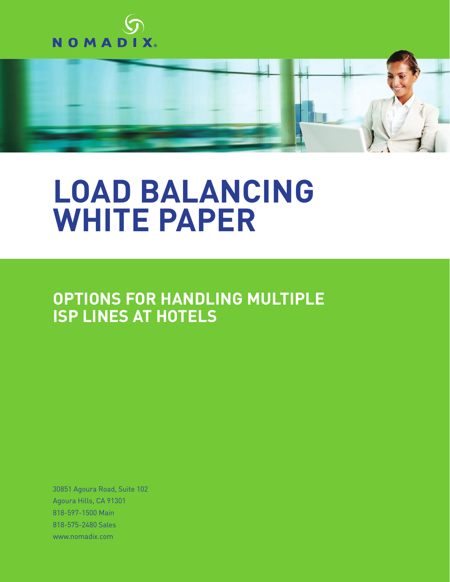



## **LOAD BALANCING WHITE PAPER**

**OPTIONS FOR HANDLING MULTIPLE ISP LINES AT HOTELS**

30851 Agoura Road, Suite 102 Agoura Hills, CA 91301 818-597-1500 Main 818-575-2480 Sales www.nomadix.com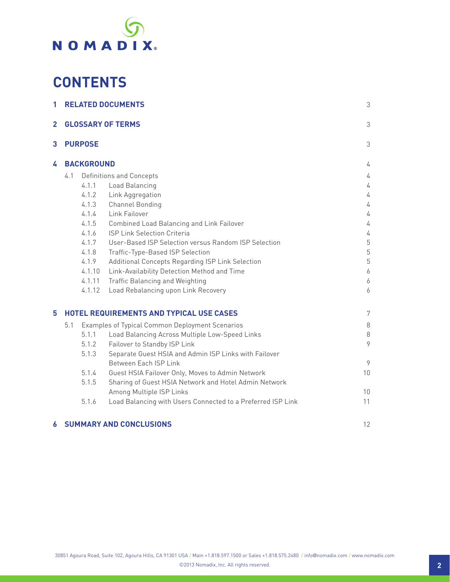

### **CONTENTS**

| 1 | <b>RELATED DOCUMENTS</b><br><b>GLOSSARY OF TERMS</b>   |                                                             |                |
|---|--------------------------------------------------------|-------------------------------------------------------------|----------------|
| 2 |                                                        |                                                             |                |
| 3 | <b>PURPOSE</b>                                         | 3                                                           |                |
| 4 | <b>BACKGROUND</b>                                      |                                                             |                |
|   | Definitions and Concepts<br>4.1                        |                                                             |                |
|   | 4.1.1                                                  | Load Balancing                                              | 4              |
|   | 4.1.2                                                  | Link Aggregation                                            | 4              |
|   | 4.1.3                                                  | <b>Channel Bonding</b>                                      | 4              |
|   | 4.1.4                                                  | Link Failover                                               | 4              |
|   | 4.1.5                                                  | <b>Combined Load Balancing and Link Failover</b>            | 4              |
|   | 4.1.6                                                  | <b>ISP Link Selection Criteria</b>                          | 4              |
|   | 4.1.7                                                  | User-Based ISP Selection versus Random ISP Selection        | $\mathbf 5$    |
|   | 4.1.8                                                  | Traffic-Type-Based ISP Selection                            | $\overline{5}$ |
|   | 4.1.9                                                  | Additional Concepts Regarding ISP Link Selection            | 5              |
|   | 4.1.10                                                 | Link-Availability Detection Method and Time                 | 6              |
|   | 4.1.11                                                 | <b>Traffic Balancing and Weighting</b>                      | 6              |
|   | 4.1.12                                                 | Load Rebalancing upon Link Recovery                         | 6              |
| 5 |                                                        | <b>HOTEL REQUIREMENTS AND TYPICAL USE CASES</b>             | 7              |
|   | 5.1<br>Examples of Typical Common Deployment Scenarios |                                                             |                |
|   | 5.1.1                                                  | Load Balancing Across Multiple Low-Speed Links              | $\,8\,$<br>8   |
|   | 5.1.2                                                  | Failover to Standby ISP Link                                | 9              |
|   | 5.1.3                                                  | Separate Guest HSIA and Admin ISP Links with Failover       |                |
|   |                                                        | Between Each ISP Link                                       | 9              |
|   | 5.1.4                                                  | Guest HSIA Failover Only, Moves to Admin Network            | 10             |
|   | 5.1.5                                                  | Sharing of Guest HSIA Network and Hotel Admin Network       |                |
|   |                                                        | Among Multiple ISP Links                                    | 10             |
|   | 5.1.6                                                  | Load Balancing with Users Connected to a Preferred ISP Link | 11             |
|   |                                                        |                                                             |                |
|   |                                                        |                                                             |                |

### **6 SUMMARY AND CONCLUSIONS** 12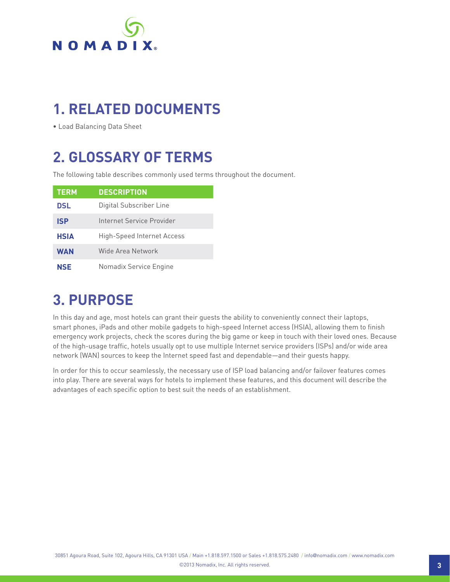

### **1. RELATED DOCUMENTS**

• Load Balancing Data Sheet

### **2. GLOSSARY OF TERMS**

The following table describes commonly used terms throughout the document.

| <b>TERM</b> | <b>DESCRIPTION</b>         |
|-------------|----------------------------|
| DSL         | Digital Subscriber Line    |
| <b>ISP</b>  | Internet Service Provider  |
| <b>HSIA</b> | High-Speed Internet Access |
| <b>WAN</b>  | Wide Area Network          |
| NSE         | Nomadix Service Engine     |

### **3. PURPOSE**

In this day and age, most hotels can grant their guests the ability to conveniently connect their laptops, smart phones, iPads and other mobile gadgets to high-speed Internet access (HSIA), allowing them to finish emergency work projects, check the scores during the big game or keep in touch with their loved ones. Because of the high-usage traffic, hotels usually opt to use multiple Internet service providers (ISPs) and/or wide area network (WAN) sources to keep the Internet speed fast and dependable—and their guests happy.

In order for this to occur seamlessly, the necessary use of ISP load balancing and/or failover features comes into play. There are several ways for hotels to implement these features, and this document will describe the advantages of each specific option to best suit the needs of an establishment.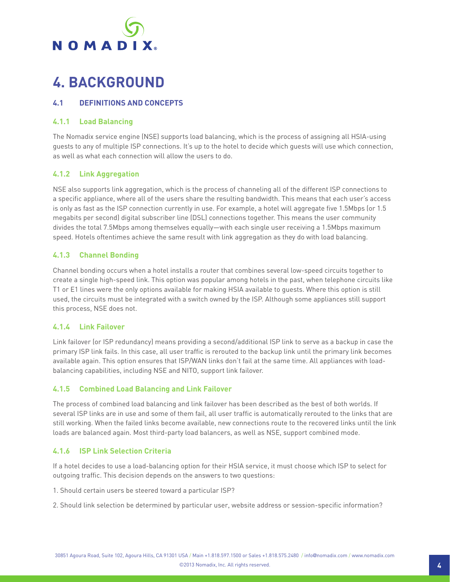## **NOMADIX**

### **4. BACKGROUND**

### **4.1 DEFINITIONS AND CONCEPTS**

### **4.1.1 Load Balancing**

The Nomadix service engine (NSE) supports load balancing, which is the process of assigning all HSIA-using guests to any of multiple ISP connections. It's up to the hotel to decide which guests will use which connection, as well as what each connection will allow the users to do.

### **4.1.2 Link Aggregation**

NSE also supports link aggregation, which is the process of channeling all of the different ISP connections to a specific appliance, where all of the users share the resulting bandwidth. This means that each user's access is only as fast as the ISP connection currently in use. For example, a hotel will aggregate five 1.5Mbps (or 1.5 megabits per second) digital subscriber line (DSL) connections together. This means the user community divides the total 7.5Mbps among themselves equally—with each single user receiving a 1.5Mbps maximum speed. Hotels oftentimes achieve the same result with link aggregation as they do with load balancing.

### **4.1.3 Channel Bonding**

Channel bonding occurs when a hotel installs a router that combines several low-speed circuits together to create a single high-speed link. This option was popular among hotels in the past, when telephone circuits like T1 or E1 lines were the only options available for making HSIA available to guests. Where this option is still used, the circuits must be integrated with a switch owned by the ISP. Although some appliances still support this process, NSE does not.

### **4.1.4 Link Failover**

Link failover (or ISP redundancy) means providing a second/additional ISP link to serve as a backup in case the primary ISP link fails. In this case, all user traffic is rerouted to the backup link until the primary link becomes available again. This option ensures that ISP/WAN links don't fail at the same time. All appliances with loadbalancing capabilities, including NSE and NITO, support link failover.

### **4.1.5 Combined Load Balancing and Link Failover**

The process of combined load balancing and link failover has been described as the best of both worlds. If several ISP links are in use and some of them fail, all user traffic is automatically rerouted to the links that are still working. When the failed links become available, new connections route to the recovered links until the link loads are balanced again. Most third-party load balancers, as well as NSE, support combined mode.

### **4.1.6 ISP Link Selection Criteria**

If a hotel decides to use a load-balancing option for their HSIA service, it must choose which ISP to select for outgoing traffic. This decision depends on the answers to two questions:

1. Should certain users be steered toward a particular ISP?

2. Should link selection be determined by particular user, website address or session-specific information?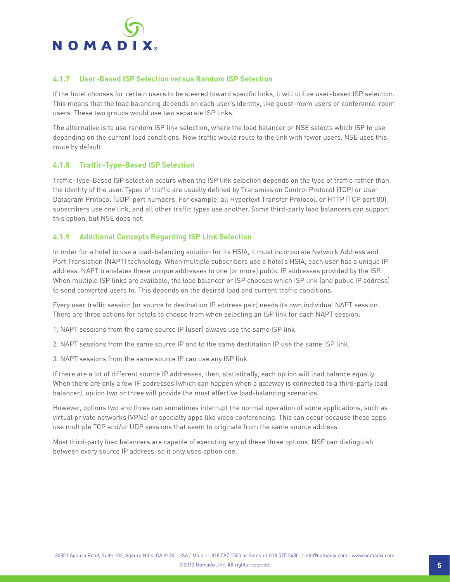

### **4.1.7 User-Based ISP Selection versus Random ISP Selection**

If the hotel chooses for certain users to be steered toward specific links, it will utilize user-based ISP selection. This means that the load balancing depends on each user's identity, like guest-room users or conference-room users. These two groups would use two separate ISP links.

The alternative is to use random ISP link selection, where the load balancer or NSE selects which ISP to use depending on the current load conditions. New traffic would route to the link with fewer users. NSE uses this route by default.

### **4.1.8 Traffic-Type-Based ISP Selection**

Traffic-Type-Based ISP selection occurs when the ISP link selection depends on the type of traffic rather than the identity of the user. Types of traffic are usually defined by Transmission Control Protocol (TCP) or User Datagram Protocol (UDP) port numbers. For example, all Hypertext Transfer Protocol, or HTTP (TCP port 80), subscribers use one link, and all other traffic types use another. Some third-party load balancers can support this option, but NSE does not.

### **4.1.9 Additional Concepts Regarding ISP Link Selection**

In order for a hotel to use a load-balancing solution for its HSIA, it must incorporate Network Address and Port Translation (NAPT) technology. When multiple subscribers use a hotel's HSIA, each user has a unique IP address. NAPT translates these unique addresses to one (or more) public IP addresses provided by the ISP. When multiple ISP links are available, the load balancer or ISP chooses which ISP link (and public IP address) to send converted users to. This depends on the desired load and current traffic conditions.

Every user traffic session (or source to destination IP address pair) needs its own individual NAPT session. There are three options for hotels to choose from when selecting an ISP link for each NAPT session:

1. NAPT sessions from the same source IP (user) always use the same ISP link.

2. NAPT sessions from the same source IP and to the same destination IP use the same ISP link.

3. NAPT sessions from the same source IP can use any ISP link.

If there are a lot of different source IP addresses, then, statistically, each option will load balance equally. When there are only a few IP addresses (which can happen when a gateway is connected to a third-party load balancer), option two or three will provide the most effective load-balancing scenarios.

However, options two and three can sometimes interrupt the normal operation of some applications, such as virtual private networks (VPNs) or specialty apps like video conferencing. This can occur because these apps use multiple TCP and/or UDP sessions that seem to originate from the same source address.

Most third-party load balancers are capable of executing any of these three options. NSE can distinguish between every source IP address, so it only uses option one.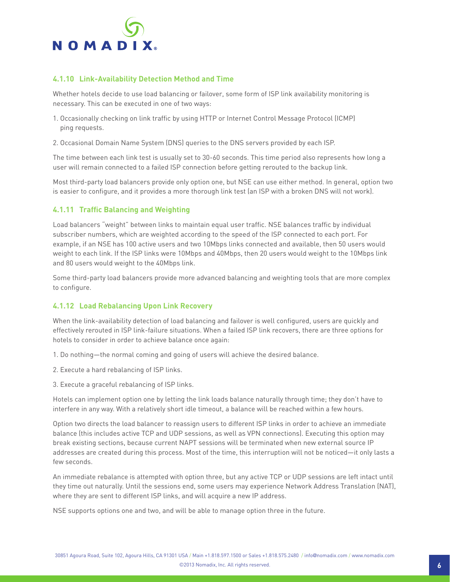

### **4.1.10 Link-Availability Detection Method and Time**

Whether hotels decide to use load balancing or failover, some form of ISP link availability monitoring is necessary. This can be executed in one of two ways:

- 1. Occasionally checking on link traffic by using HTTP or Internet Control Message Protocol (ICMP) ping requests.
- 2. Occasional Domain Name System (DNS) queries to the DNS servers provided by each ISP.

The time between each link test is usually set to 30-60 seconds. This time period also represents how long a user will remain connected to a failed ISP connection before getting rerouted to the backup link.

Most third-party load balancers provide only option one, but NSE can use either method. In general, option two is easier to configure, and it provides a more thorough link test (an ISP with a broken DNS will not work).

### **4.1.11 Traffic Balancing and Weighting**

Load balancers "weight" between links to maintain equal user traffic. NSE balances traffic by individual subscriber numbers, which are weighted according to the speed of the ISP connected to each port. For example, if an NSE has 100 active users and two 10Mbps links connected and available, then 50 users would weight to each link. If the ISP links were 10Mbps and 40Mbps, then 20 users would weight to the 10Mbps link and 80 users would weight to the 40Mbps link.

Some third-party load balancers provide more advanced balancing and weighting tools that are more complex to configure.

#### **4.1.12 Load Rebalancing Upon Link Recovery**

When the link-availability detection of load balancing and failover is well configured, users are quickly and effectively rerouted in ISP link-failure situations. When a failed ISP link recovers, there are three options for hotels to consider in order to achieve balance once again:

1. Do nothing—the normal coming and going of users will achieve the desired balance.

- 2. Execute a hard rebalancing of ISP links.
- 3. Execute a graceful rebalancing of ISP links.

Hotels can implement option one by letting the link loads balance naturally through time; they don't have to interfere in any way. With a relatively short idle timeout, a balance will be reached within a few hours.

Option two directs the load balancer to reassign users to different ISP links in order to achieve an immediate balance (this includes active TCP and UDP sessions, as well as VPN connections). Executing this option may break existing sections, because current NAPT sessions will be terminated when new external source IP addresses are created during this process. Most of the time, this interruption will not be noticed—it only lasts a few seconds.

An immediate rebalance is attempted with option three, but any active TCP or UDP sessions are left intact until they time out naturally. Until the sessions end, some users may experience Network Address Translation (NAT), where they are sent to different ISP links, and will acquire a new IP address.

NSE supports options one and two, and will be able to manage option three in the future.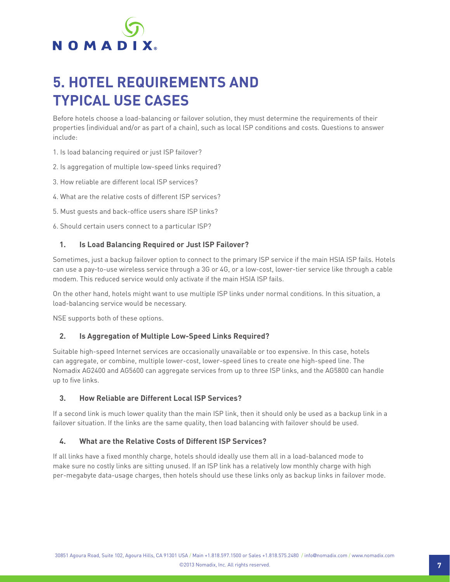

### **5. HOTEL REQUIREMENTS AND TYPICAL USE CASES**

Before hotels choose a load-balancing or failover solution, they must determine the requirements of their properties (individual and/or as part of a chain), such as local ISP conditions and costs. Questions to answer include:

- 1. Is load balancing required or just ISP failover?
- 2. Is aggregation of multiple low-speed links required?
- 3. How reliable are different local ISP services?
- 4. What are the relative costs of different ISP services?
- 5. Must guests and back-office users share ISP links?
- 6. Should certain users connect to a particular ISP?

### **1. Is Load Balancing Required or Just ISP Failover?**

Sometimes, just a backup failover option to connect to the primary ISP service if the main HSIA ISP fails. Hotels can use a pay-to-use wireless service through a 3G or 4G, or a low-cost, lower-tier service like through a cable modem. This reduced service would only activate if the main HSIA ISP fails.

On the other hand, hotels might want to use multiple ISP links under normal conditions. In this situation, a load-balancing service would be necessary.

NSE supports both of these options.

#### **2. Is Aggregation of Multiple Low-Speed Links Required?**

Suitable high-speed Internet services are occasionally unavailable or too expensive. In this case, hotels can aggregate, or combine, multiple lower-cost, lower-speed lines to create one high-speed line. The Nomadix AG2400 and AG5600 can aggregate services from up to three ISP links, and the AG5800 can handle up to five links.

#### **3. How Reliable are Different Local ISP Services?**

If a second link is much lower quality than the main ISP link, then it should only be used as a backup link in a failover situation. If the links are the same quality, then load balancing with failover should be used.

#### **4. What are the Relative Costs of Different ISP Services?**

If all links have a fixed monthly charge, hotels should ideally use them all in a load-balanced mode to make sure no costly links are sitting unused. If an ISP link has a relatively low monthly charge with high per-megabyte data-usage charges, then hotels should use these links only as backup links in failover mode.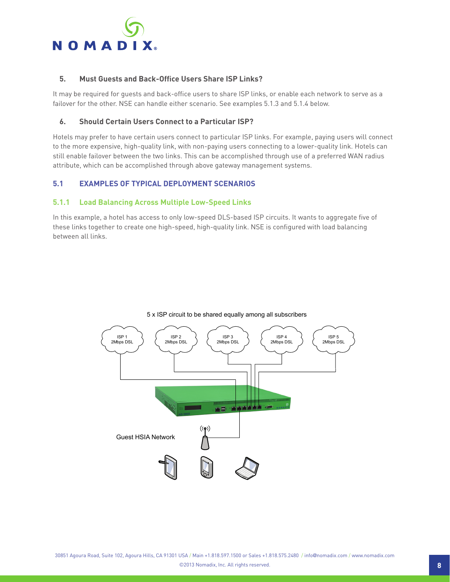

### **5. Must Guests and Back-Office Users Share ISP Links?**

It may be required for guests and back-office users to share ISP links, or enable each network to serve as a failover for the other. NSE can handle either scenario. See examples 5.1.3 and 5.1.4 below.

### **6. Should Certain Users Connect to a Particular ISP?**

Hotels may prefer to have certain users connect to particular ISP links. For example, paying users will connect to the more expensive, high-quality link, with non-paying users connecting to a lower-quality link. Hotels can still enable failover between the two links. This can be accomplished through use of a preferred WAN radius attribute, which can be accomplished through above gateway management systems.

### **5.1 EXAMPLES OF TYPICAL DEPLOYMENT SCENARIOS**

### **5.1.1 Load Balancing Across Multiple Low-Speed Links**

In this example, a hotel has access to only low-speed DLS-based ISP circuits. It wants to aggregate five of these links together to create one high-speed, high-quality link. NSE is configured with load balancing between all links.



#### 5 x ISP circuit to be shared equally among all subscribers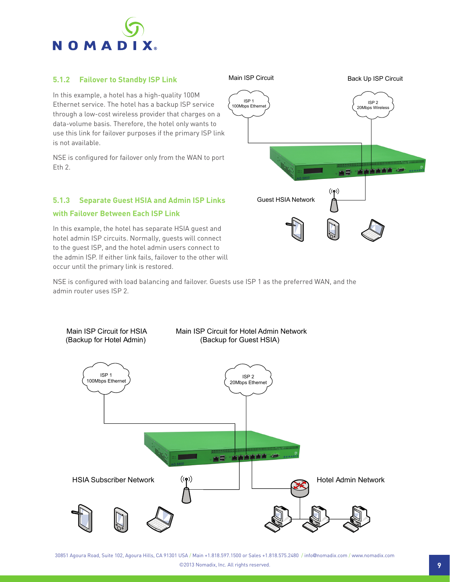

### **5.1.2 Failover to Standby ISP Link**

In this example, a hotel has a high-quality 100M Ethernet service. The hotel has a backup ISP service through a low-cost wireless provider that charges on a data-volume basis. Therefore, the hotel only wants to use this link for failover purposes if the primary ISP link is not available.

NSE is configured for failover only from the WAN to port Eth 2.

### **5.1.3 Separate Guest HSIA and Admin ISP Links**

#### **with Failover Between Each ISP Link**

In this example, the hotel has separate HSIA guest and hotel admin ISP circuits. Normally, guests will connect to the guest ISP, and the hotel admin users connect to the admin ISP. If either link fails, failover to the other will occur until the primary link is restored.

NSE is configured with load balancing and failover. Guests use ISP 1 as the preferred WAN, and the admin router uses ISP 2.



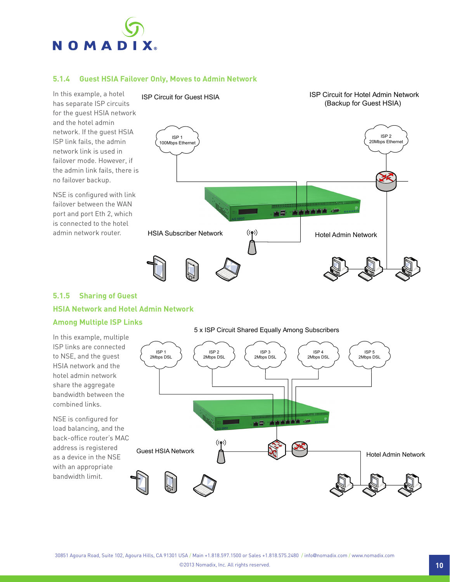

### **5.1.4 Guest HSIA Failover Only, Moves to Admin Network**

In this example, a hotel has separate ISP circuits for the guest HSIA network and the hotel admin network. If the guest HSIA ISP link fails, the admin network link is used in failover mode. However, if the admin link fails, there is no failover backup. ISP Circuit for Guest HSIA

NSE is configured with link failover between the WAN port and port Eth 2, which is connected to the hotel admin network router.



### **5.1.5 Sharing of Guest HSIA Network and Hotel Admin Network**

### **Among Multiple ISP Links**



ISP Circuit for Hotel Admin Network (Backup for Guest HSIA)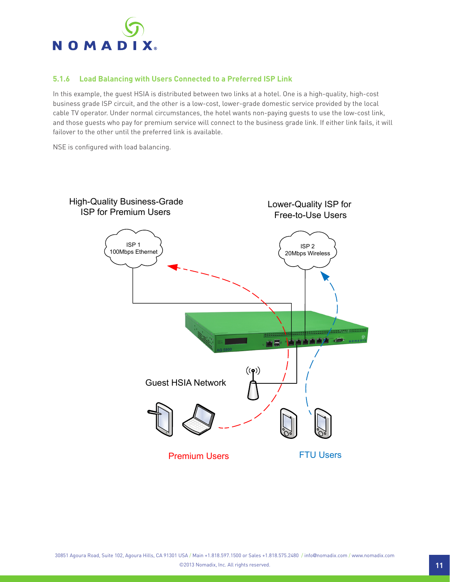

### **5.1.6 Load Balancing with Users Connected to a Preferred ISP Link**

In this example, the guest HSIA is distributed between two links at a hotel. One is a high-quality, high-cost business grade ISP circuit, and the other is a low-cost, lower-grade domestic service provided by the local cable TV operator. Under normal circumstances, the hotel wants non-paying guests to use the low-cost link, and those guests who pay for premium service will connect to the business grade link. If either link fails, it will failover to the other until the preferred link is available.

NSE is configured with load balancing.